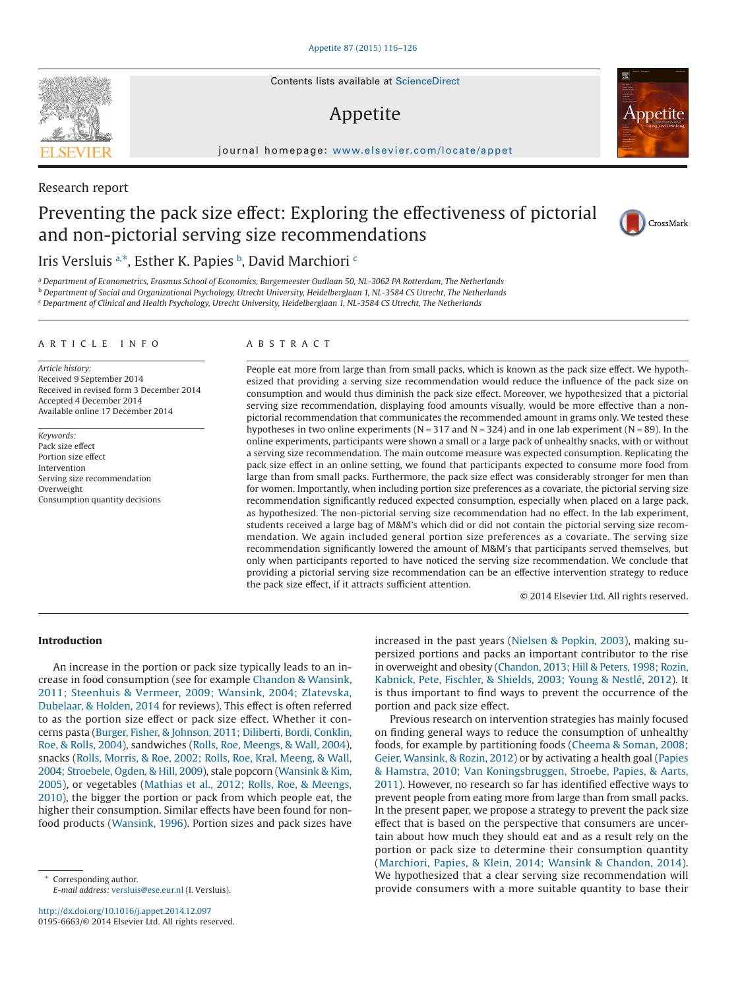Contents lists available at [ScienceDirect](http://www.sciencedirect.com/science/journal/01956663)

# Appetite

journal homepage: [www.elsevier.com/locate/appet](http://www.elsevier.com/locate/APPET)

# Research report

# Preventing the pack size effect: Exploring the effectiveness of pictorial and non-pictorial serving size recommendations

# Iris Versluis <sup>[a,](#page-0-0)\*</sup>, Esther K. Papies <sup>[b](#page-0-2)</sup>, David Mar[c](#page-0-3)hiori c

<span id="page-0-0"></span><sup>a</sup> *Department of Econometrics, Erasmus School of Economics, Burgemeester Oudlaan 50, NL-3062 PA Rotterdam, The Netherlands*

<span id="page-0-2"></span><sup>b</sup> *Department of Social and Organizational Psychology, Utrecht University, Heidelberglaan 1, NL-3584 CS Utrecht, The Netherlands*

<span id="page-0-3"></span><sup>c</sup> *Department of Clinical and Health Psychology, Utrecht University, Heidelberglaan 1, NL-3584 CS Utrecht, The Netherlands*

#### ARTICLE INFO

*Article history:* Received 9 September 2014 Received in revised form 3 December 2014 Accepted 4 December 2014 Available online 17 December 2014

*Keywords:* Pack size effect Portion size effect Intervention Serving size recommendation **Overweight** Consumption quantity decisions

# ABSTRACT

People eat more from large than from small packs, which is known as the pack size effect. We hypothesized that providing a serving size recommendation would reduce the influence of the pack size on consumption and would thus diminish the pack size effect. Moreover, we hypothesized that a pictorial serving size recommendation, displaying food amounts visually, would be more effective than a nonpictorial recommendation that communicates the recommended amount in grams only. We tested these hypotheses in two online experiments ( $N = 317$  and  $N = 324$ ) and in one lab experiment ( $N = 89$ ). In the online experiments, participants were shown a small or a large pack of unhealthy snacks, with or without a serving size recommendation. The main outcome measure was expected consumption. Replicating the pack size effect in an online setting, we found that participants expected to consume more food from large than from small packs. Furthermore, the pack size effect was considerably stronger for men than for women. Importantly, when including portion size preferences as a covariate, the pictorial serving size recommendation significantly reduced expected consumption, especially when placed on a large pack, as hypothesized. The non-pictorial serving size recommendation had no effect. In the lab experiment, students received a large bag of M&M's which did or did not contain the pictorial serving size recommendation. We again included general portion size preferences as a covariate. The serving size recommendation significantly lowered the amount of M&M's that participants served themselves*,* but only when participants reported to have noticed the serving size recommendation. We conclude that providing a pictorial serving size recommendation can be an effective intervention strategy to reduce the pack size effect, if it attracts sufficient attention.

© 2014 Elsevier Ltd. All rights reserved.

# **Introduction**

An increase in the portion or pack size typically leads to an increase in food consumption (see for example [Chandon & Wansink,](#page-9-0) [2011; Steenhuis & Vermeer, 2009; Wansink, 2004; Zlatevska,](#page-9-0) [Dubelaar, & Holden, 2014](#page-9-0) for reviews). This effect is often referred to as the portion size effect or pack size effect. Whether it concerns pasta [\(Burger, Fisher, & Johnson, 2011; Diliberti, Bordi, Conklin,](#page-9-1) [Roe, & Rolls, 2004\)](#page-9-1), sandwiches [\(Rolls, Roe, Meengs, & Wall, 2004\)](#page-10-0), snacks [\(Rolls, Morris, & Roe, 2002; Rolls, Roe, Kral, Meeng, & Wall,](#page-10-1) [2004; Stroebele, Ogden, & Hill, 2009\)](#page-10-1), stale popcorn [\(Wansink & Kim,](#page-10-2) [2005\)](#page-10-2), or vegetables [\(Mathias et al., 2012; Rolls, Roe, & Meengs,](#page-10-3) [2010\)](#page-10-3), the bigger the portion or pack from which people eat, the higher their consumption. Similar effects have been found for nonfood products [\(Wansink, 1996\)](#page-10-4). Portion sizes and pack sizes have

<span id="page-0-1"></span>Corresponding author. *E-mail address:* [versluis@ese.eur.nl](mailto:versluis@ese.eur.nl) (I. Versluis). increased in the past years [\(Nielsen & Popkin, 2003\)](#page-10-5), making supersized portions and packs an important contributor to the rise in overweight and obesity [\(Chandon, 2013; Hill & Peters, 1998; Rozin,](#page-9-2) [Kabnick, Pete, Fischler, & Shields, 2003; Young & Nestlé, 2012\)](#page-9-2). It is thus important to find ways to prevent the occurrence of the portion and pack size effect.

Previous research on intervention strategies has mainly focused on finding general ways to reduce the consumption of unhealthy foods, for example by partitioning foods [\(Cheema & Soman, 2008;](#page-9-3) [Geier, Wansink, & Rozin, 2012\)](#page-9-3) or by activating a health goal [\(Papies](#page-10-6) [& Hamstra, 2010; Van Koningsbruggen, Stroebe, Papies, & Aarts,](#page-10-6) [2011\)](#page-10-6). However, no research so far has identified effective ways to prevent people from eating more from large than from small packs. In the present paper, we propose a strategy to prevent the pack size effect that is based on the perspective that consumers are uncertain about how much they should eat and as a result rely on the portion or pack size to determine their consumption quantity [\(Marchiori, Papies, & Klein, 2014; Wansink & Chandon, 2014\)](#page-10-7). We hypothesized that a clear serving size recommendation will provide consumers with a more suitable quantity to base their





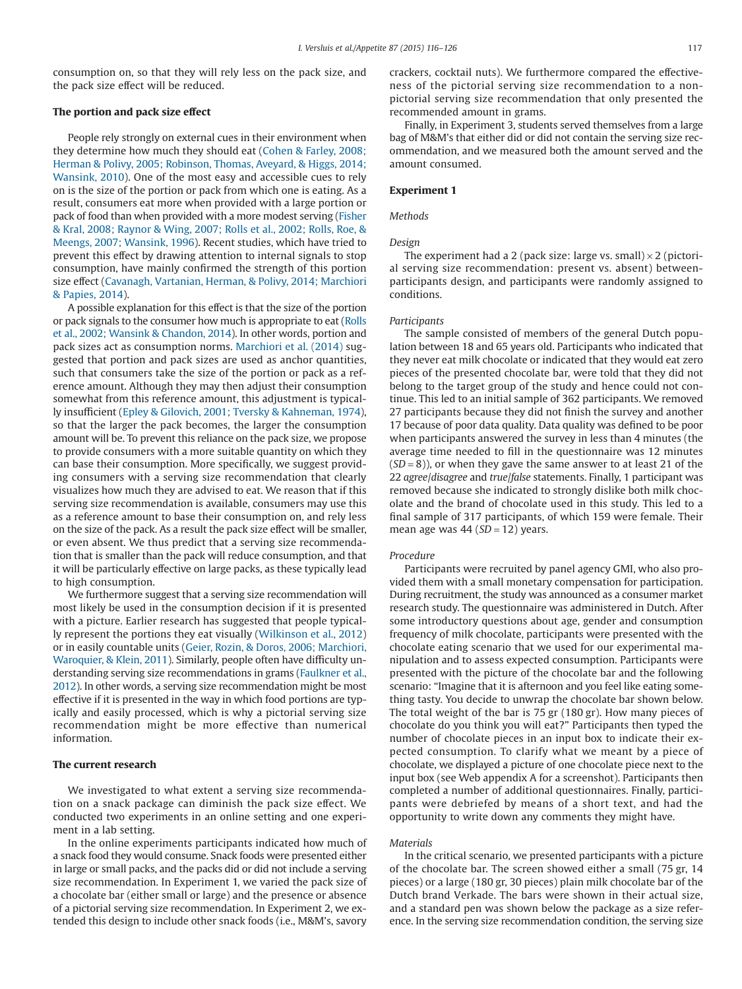consumption on, so that they will rely less on the pack size, and the pack size effect will be reduced.

#### **The portion and pack size effect**

People rely strongly on external cues in their environment when they determine how much they should eat [\(Cohen & Farley, 2008;](#page-9-4) [Herman & Polivy, 2005; Robinson, Thomas, Aveyard, & Higgs, 2014;](#page-9-4) [Wansink, 2010\)](#page-9-4). One of the most easy and accessible cues to rely on is the size of the portion or pack from which one is eating. As a result, consumers eat more when provided with a large portion or pack of food than when provided with a more modest serving [\(Fisher](#page-10-8) [& Kral, 2008; Raynor & Wing, 2007; Rolls et al., 2002; Rolls, Roe, &](#page-10-8) [Meengs, 2007; Wansink, 1996\)](#page-10-8). Recent studies, which have tried to prevent this effect by drawing attention to internal signals to stop consumption, have mainly confirmed the strength of this portion size effect [\(Cavanagh, Vartanian, Herman, & Polivy, 2014; Marchiori](#page-9-5) [& Papies, 2014\)](#page-9-5).

A possible explanation for this effect is that the size of the portion or pack signals to the consumer how much is appropriate to eat [\(Rolls](#page-10-1) [et al., 2002; Wansink & Chandon, 2014\)](#page-10-1). In other words, portion and pack sizes act as consumption norms. [Marchiori et al. \(2014\)](#page-10-7) suggested that portion and pack sizes are used as anchor quantities, such that consumers take the size of the portion or pack as a reference amount. Although they may then adjust their consumption somewhat from this reference amount, this adjustment is typically insufficient [\(Epley & Gilovich, 2001; Tversky & Kahneman, 1974\)](#page-10-9), so that the larger the pack becomes, the larger the consumption amount will be. To prevent this reliance on the pack size, we propose to provide consumers with a more suitable quantity on which they can base their consumption. More specifically, we suggest providing consumers with a serving size recommendation that clearly visualizes how much they are advised to eat. We reason that if this serving size recommendation is available, consumers may use this as a reference amount to base their consumption on, and rely less on the size of the pack. As a result the pack size effect will be smaller, or even absent. We thus predict that a serving size recommendation that is smaller than the pack will reduce consumption, and that it will be particularly effective on large packs, as these typically lead to high consumption.

We furthermore suggest that a serving size recommendation will most likely be used in the consumption decision if it is presented with a picture. Earlier research has suggested that people typically represent the portions they eat visually [\(Wilkinson et al., 2012\)](#page-10-10) or in easily countable units [\(Geier, Rozin, & Doros, 2006; Marchiori,](#page-10-11) [Waroquier, & Klein, 2011\)](#page-10-11). Similarly, people often have difficulty understanding serving size recommendations in grams [\(Faulkner et al.,](#page-10-12) [2012\)](#page-10-12). In other words, a serving size recommendation might be most effective if it is presented in the way in which food portions are typically and easily processed, which is why a pictorial serving size recommendation might be more effective than numerical information.

#### **The current research**

We investigated to what extent a serving size recommendation on a snack package can diminish the pack size effect. We conducted two experiments in an online setting and one experiment in a lab setting.

In the online experiments participants indicated how much of a snack food they would consume. Snack foods were presented either in large or small packs, and the packs did or did not include a serving size recommendation. In Experiment 1, we varied the pack size of a chocolate bar (either small or large) and the presence or absence of a pictorial serving size recommendation. In Experiment 2, we extended this design to include other snack foods (i.e., M&M's, savory

crackers, cocktail nuts). We furthermore compared the effectiveness of the pictorial serving size recommendation to a nonpictorial serving size recommendation that only presented the recommended amount in grams.

Finally, in Experiment 3, students served themselves from a large bag of M&M's that either did or did not contain the serving size recommendation, and we measured both the amount served and the amount consumed.

#### **Experiment 1**

## *Methods*

#### *Design*

The experiment had a 2 (pack size: large vs. small)  $\times$  2 (pictorial serving size recommendation: present vs. absent) betweenparticipants design, and participants were randomly assigned to conditions.

#### *Participants*

The sample consisted of members of the general Dutch population between 18 and 65 years old. Participants who indicated that they never eat milk chocolate or indicated that they would eat zero pieces of the presented chocolate bar, were told that they did not belong to the target group of the study and hence could not continue. This led to an initial sample of 362 participants. We removed 27 participants because they did not finish the survey and another 17 because of poor data quality. Data quality was defined to be poor when participants answered the survey in less than 4 minutes (the average time needed to fill in the questionnaire was 12 minutes (*SD* = 8)), or when they gave the same answer to at least 21 of the 22 *agree*/*disagree* and *true*/*false* statements. Finally, 1 participant was removed because she indicated to strongly dislike both milk chocolate and the brand of chocolate used in this study. This led to a final sample of 317 participants, of which 159 were female. Their mean age was 44 (*SD* = 12) years.

#### *Procedure*

Participants were recruited by panel agency GMI, who also provided them with a small monetary compensation for participation. During recruitment, the study was announced as a consumer market research study. The questionnaire was administered in Dutch. After some introductory questions about age, gender and consumption frequency of milk chocolate, participants were presented with the chocolate eating scenario that we used for our experimental manipulation and to assess expected consumption. Participants were presented with the picture of the chocolate bar and the following scenario: "Imagine that it is afternoon and you feel like eating something tasty. You decide to unwrap the chocolate bar shown below. The total weight of the bar is 75 gr (180 gr). How many pieces of chocolate do you think you will eat?" Participants then typed the number of chocolate pieces in an input box to indicate their expected consumption. To clarify what we meant by a piece of chocolate, we displayed a picture of one chocolate piece next to the input box (see Web appendix A for a screenshot). Participants then completed a number of additional questionnaires. Finally, participants were debriefed by means of a short text, and had the opportunity to write down any comments they might have.

#### *Materials*

In the critical scenario, we presented participants with a picture of the chocolate bar. The screen showed either a small (75 gr, 14 pieces) or a large (180 gr, 30 pieces) plain milk chocolate bar of the Dutch brand Verkade. The bars were shown in their actual size, and a standard pen was shown below the package as a size reference. In the serving size recommendation condition, the serving size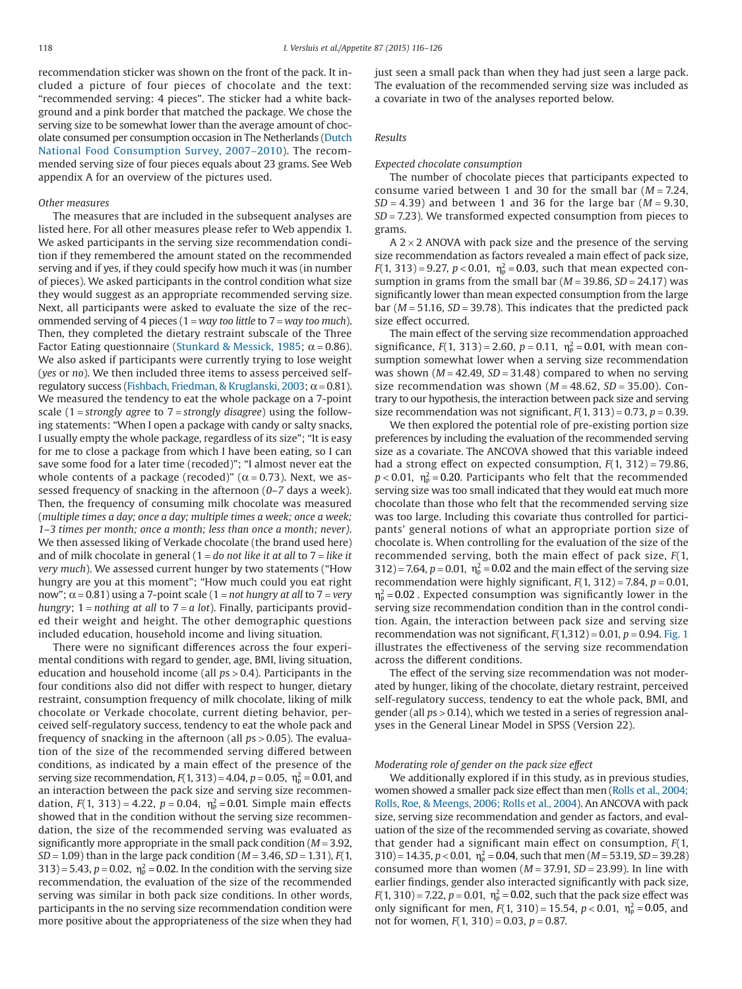recommendation sticker was shown on the front of the pack. It included a picture of four pieces of chocolate and the text: "recommended serving: 4 pieces". The sticker had a white background and a pink border that matched the package. We chose the serving size to be somewhat lower than the average amount of chocolate consumed per consumption occasion in The Netherlands [\(Dutch](#page-9-6) [National Food Consumption Survey, 2007–2010\)](#page-9-6). The recommended serving size of four pieces equals about 23 grams. See Web appendix A for an overview of the pictures used.

#### *Other measures*

The measures that are included in the subsequent analyses are listed here. For all other measures please refer to Web appendix 1. We asked participants in the serving size recommendation condition if they remembered the amount stated on the recommended serving and if yes, if they could specify how much it was (in number of pieces). We asked participants in the control condition what size they would suggest as an appropriate recommended serving size. Next, all participants were asked to evaluate the size of the recommended serving of 4 pieces (1 = *way too little* to 7 = *way too much*). Then, they completed the dietary restraint subscale of the Three Factor Eating questionnaire [\(Stunkard & Messick, 1985;](#page-10-13)  $\alpha = 0.86$ ). We also asked if participants were currently trying to lose weight (*yes* or *no*). We then included three items to assess perceived self-regulatory success [\(Fishbach, Friedman, & Kruglanski, 2003;](#page-10-14)  $\alpha$  = 0.81). We measured the tendency to eat the whole package on a 7-point scale (1 = *strongly agree* to 7 = *strongly disagree*) using the following statements: "When I open a package with candy or salty snacks, I usually empty the whole package, regardless of its size"; "It is easy for me to close a package from which I have been eating, so I can save some food for a later time (recoded)"; "I almost never eat the whole contents of a package (recoded)" ( $\alpha$  = 0.73). Next, we assessed frequency of snacking in the afternoon (*0*–*7* days a week). Then, the frequency of consuming milk chocolate was measured (*multiple times a day; once a day; multiple times a week; once a week; 1–3 times per month; once a month; less than once a month; never)*. We then assessed liking of Verkade chocolate (the brand used here) and of milk chocolate in general (1 = *do not like it at all* to 7 = *like it very much*). We assessed current hunger by two statements ("How hungry are you at this moment"; "How much could you eat right now"; α = 0.81) using a 7-point scale (1 = *not hungry at all* to 7 = *very hungry*; 1 = *nothing at all* to 7 = *a lot*). Finally, participants provided their weight and height. The other demographic questions included education, household income and living situation.

There were no significant differences across the four experimental conditions with regard to gender, age, BMI, living situation, education and household income (all *p*s > 0.4). Participants in the four conditions also did not differ with respect to hunger, dietary restraint, consumption frequency of milk chocolate, liking of milk chocolate or Verkade chocolate, current dieting behavior, perceived self-regulatory success, tendency to eat the whole pack and frequency of snacking in the afternoon (all *p*s > 0.05). The evaluation of the size of the recommended serving differed between conditions, as indicated by a main effect of the presence of the serving size recommendation,  $F(1, 313) = 4.04$ ,  $p = 0.05$ ,  $\eta_p^2 = 0.01$ , and an interaction between the pack size and serving size recommendation,  $F(1, 313) = 4.22$ ,  $p = 0.04$ ,  $\eta_p^2 = 0.01$ . Simple main effects showed that in the condition without the serving size recommendation, the size of the recommended serving was evaluated as significantly more appropriate in the small pack condition (*M* = 3.92, *SD* = 1.09) than in the large pack condition (*M* = 3.46, *SD* = 1.31), *F*(1,  $(313) = 5.43$ ,  $p = 0.02$ ,  $\eta_p^2 = 0.02$ . In the condition with the serving size recommendation, the evaluation of the size of the recommended serving was similar in both pack size conditions. In other words, participants in the no serving size recommendation condition were more positive about the appropriateness of the size when they had

just seen a small pack than when they had just seen a large pack. The evaluation of the recommended serving size was included as a covariate in two of the analyses reported below.

#### *Results*

#### *Expected chocolate consumption*

The number of chocolate pieces that participants expected to consume varied between 1 and 30 for the small bar (*M* = 7.24, *SD* = 4.39) and between 1 and 36 for the large bar (*M* = 9.30, *SD* = 7.23). We transformed expected consumption from pieces to grams.

A  $2 \times 2$  ANOVA with pack size and the presence of the serving size recommendation as factors revealed a main effect of pack size, *F*(1, 313) = 9.27, *p* < 0.01,  $\eta_p^2$  = 0.03, such that mean expected consumption in grams from the small bar  $(M = 39.86, SD = 24.17)$  was significantly lower than mean expected consumption from the large bar ( $M = 51.16$ ,  $SD = 39.78$ ). This indicates that the predicted pack size effect occurred.

The main effect of the serving size recommendation approached significance,  $F(1, 313) = 2.60$ ,  $p = 0.11$ ,  $\eta_p^2 = 0.01$ , with mean consumption somewhat lower when a serving size recommendation was shown (*M* = 42.49, *SD* = 31.48) compared to when no serving size recommendation was shown  $(M = 48.62, SD = 35.00)$ . Contrary to our hypothesis, the interaction between pack size and serving size recommendation was not significant,  $F(1, 313) = 0.73$ ,  $p = 0.39$ .

We then explored the potential role of pre-existing portion size preferences by including the evaluation of the recommended serving size as a covariate. The ANCOVA showed that this variable indeed had a strong effect on expected consumption, *F*(1, 312) = 79.86,  $p < 0.01$ ,  $\eta_{\text{\tiny{p}}}^2$ =0.20. Participants who felt that the recommended serving size was too small indicated that they would eat much more chocolate than those who felt that the recommended serving size was too large. Including this covariate thus controlled for participants' general notions of what an appropriate portion size of chocolate is. When controlling for the evaluation of the size of the recommended serving, both the main effect of pack size, *F*(1,  $312$ ) = 7.64,  $p = 0.01$ ,  $\eta_p^2 = 0.02$  and the main effect of the serving size recommendation were highly significant,  $F(1, 312) = 7.84$ ,  $p = 0.01$ ,  $\eta_{\rm p}^2$ =0.02 . Expected consumption was significantly lower in the serving size recommendation condition than in the control condition. Again, the interaction between pack size and serving size recommendation was not significant,  $F(1,312) = 0.01$ ,  $p = 0.94$ . [Fig. 1](#page-3-0) illustrates the effectiveness of the serving size recommendation across the different conditions.

The effect of the serving size recommendation was not moderated by hunger, liking of the chocolate, dietary restraint, perceived self-regulatory success, tendency to eat the whole pack, BMI, and gender (all *p*s > 0.14), which we tested in a series of regression analyses in the General Linear Model in SPSS (Version 22).

#### *Moderating role of gender on the pack size effect*

We additionally explored if in this study, as in previous studies, women showed a smaller pack size effect than men [\(Rolls et al., 2004;](#page-10-15) [Rolls, Roe, & Meengs, 2006; Rolls et al., 2004\)](#page-10-15). An ANCOVA with pack size, serving size recommendation and gender as factors, and evaluation of the size of the recommended serving as covariate, showed that gender had a significant main effect on consumption, *F*(1,  $(310) = 14.35, p < 0.01, \eta_{\rm p}^2 = 0.04$ , such that men (*M* = 53.19, *SD* = 39.28) consumed more than women (*M* = 37.91, *SD* = 23.99). In line with earlier findings, gender also interacted significantly with pack size,  $F(1, 310) = 7.22$ ,  $p = 0.01$ ,  $\eta_p^2 = 0.02$ , such that the pack size effect was only significant for men,  $F(1, 310) = 15.54$ ,  $p < 0.01$ ,  $\eta_p^2 = 0.05$ , and not for women, *F*(1, 310) = 0.03, *p* = 0.87.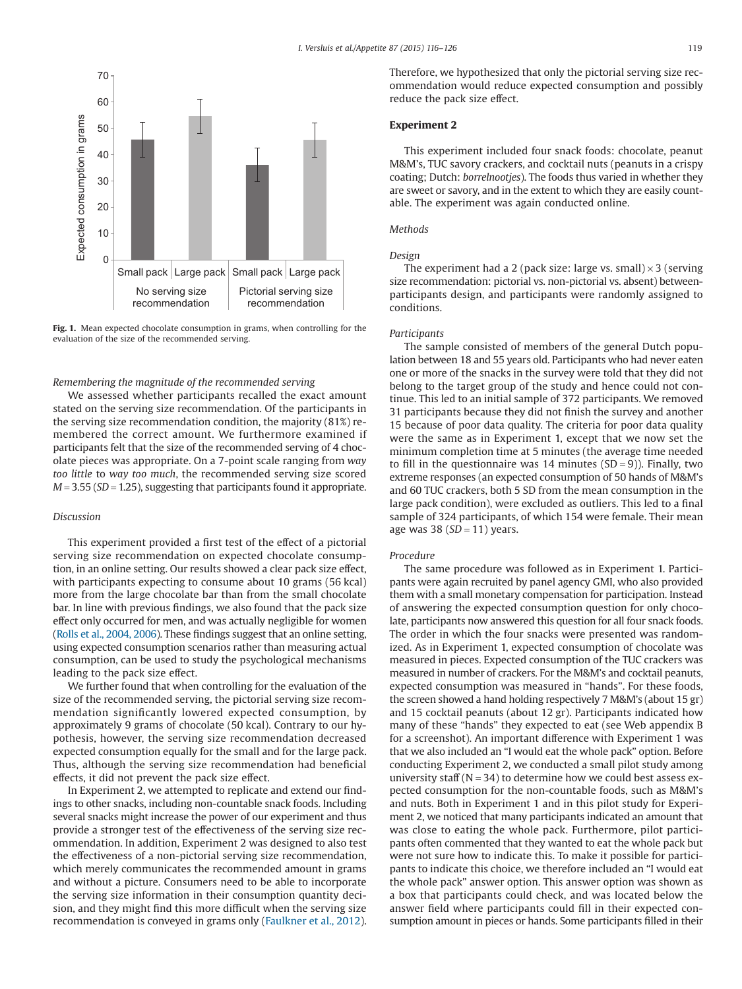<span id="page-3-0"></span>

**Fig. 1.** Mean expected chocolate consumption in grams, when controlling for the evaluation of the size of the recommended serving.

#### *Remembering the magnitude of the recommended serving*

We assessed whether participants recalled the exact amount stated on the serving size recommendation. Of the participants in the serving size recommendation condition, the majority (81%) remembered the correct amount. We furthermore examined if participants felt that the size of the recommended serving of 4 chocolate pieces was appropriate. On a 7-point scale ranging from *way too little* to *way too much*, the recommended serving size scored *M* = 3.55 (*SD* = 1.25), suggesting that participants found it appropriate.

#### *Discussion*

This experiment provided a first test of the effect of a pictorial serving size recommendation on expected chocolate consumption, in an online setting. Our results showed a clear pack size effect, with participants expecting to consume about 10 grams (56 kcal) more from the large chocolate bar than from the small chocolate bar. In line with previous findings, we also found that the pack size effect only occurred for men, and was actually negligible for women [\(Rolls et al., 2004, 2006\)](#page-10-15). These findings suggest that an online setting, using expected consumption scenarios rather than measuring actual consumption, can be used to study the psychological mechanisms leading to the pack size effect.

We further found that when controlling for the evaluation of the size of the recommended serving, the pictorial serving size recommendation significantly lowered expected consumption, by approximately 9 grams of chocolate (50 kcal). Contrary to our hypothesis, however, the serving size recommendation decreased expected consumption equally for the small and for the large pack. Thus, although the serving size recommendation had beneficial effects, it did not prevent the pack size effect.

In Experiment 2, we attempted to replicate and extend our findings to other snacks, including non-countable snack foods. Including several snacks might increase the power of our experiment and thus provide a stronger test of the effectiveness of the serving size recommendation. In addition, Experiment 2 was designed to also test the effectiveness of a non-pictorial serving size recommendation, which merely communicates the recommended amount in grams and without a picture. Consumers need to be able to incorporate the serving size information in their consumption quantity decision, and they might find this more difficult when the serving size recommendation is conveyed in grams only [\(Faulkner et al., 2012\)](#page-10-12). Therefore, we hypothesized that only the pictorial serving size recommendation would reduce expected consumption and possibly reduce the pack size effect.

# **Experiment 2**

This experiment included four snack foods: chocolate, peanut M&M's, TUC savory crackers, and cocktail nuts (peanuts in a crispy coating; Dutch: *borrelnootjes*). The foods thus varied in whether they are sweet or savory, and in the extent to which they are easily countable. The experiment was again conducted online.

#### *Methods*

#### *Design*

The experiment had a 2 (pack size: large vs. small)  $\times$  3 (serving size recommendation: pictorial vs. non-pictorial vs. absent) betweenparticipants design, and participants were randomly assigned to conditions.

#### *Participants*

The sample consisted of members of the general Dutch population between 18 and 55 years old. Participants who had never eaten one or more of the snacks in the survey were told that they did not belong to the target group of the study and hence could not continue. This led to an initial sample of 372 participants. We removed 31 participants because they did not finish the survey and another 15 because of poor data quality. The criteria for poor data quality were the same as in Experiment 1, except that we now set the minimum completion time at 5 minutes (the average time needed to fill in the questionnaire was 14 minutes  $(SD = 9)$ ). Finally, two extreme responses (an expected consumption of 50 hands of M&M's and 60 TUC crackers, both 5 SD from the mean consumption in the large pack condition), were excluded as outliers. This led to a final sample of 324 participants, of which 154 were female. Their mean age was 38 (*SD* = 11) years.

#### *Procedure*

The same procedure was followed as in Experiment 1. Participants were again recruited by panel agency GMI, who also provided them with a small monetary compensation for participation. Instead of answering the expected consumption question for only chocolate, participants now answered this question for all four snack foods. The order in which the four snacks were presented was randomized. As in Experiment 1, expected consumption of chocolate was measured in pieces. Expected consumption of the TUC crackers was measured in number of crackers. For the M&M's and cocktail peanuts, expected consumption was measured in "hands". For these foods, the screen showed a hand holding respectively 7 M&M's (about 15 gr) and 15 cocktail peanuts (about 12 gr). Participants indicated how many of these "hands" they expected to eat (see Web appendix B for a screenshot). An important difference with Experiment 1 was that we also included an "I would eat the whole pack" option. Before conducting Experiment 2, we conducted a small pilot study among university staff ( $N = 34$ ) to determine how we could best assess expected consumption for the non-countable foods, such as M&M's and nuts. Both in Experiment 1 and in this pilot study for Experiment 2, we noticed that many participants indicated an amount that was close to eating the whole pack. Furthermore, pilot participants often commented that they wanted to eat the whole pack but were not sure how to indicate this. To make it possible for participants to indicate this choice, we therefore included an "I would eat the whole pack" answer option. This answer option was shown as a box that participants could check, and was located below the answer field where participants could fill in their expected consumption amount in pieces or hands. Some participants filled in their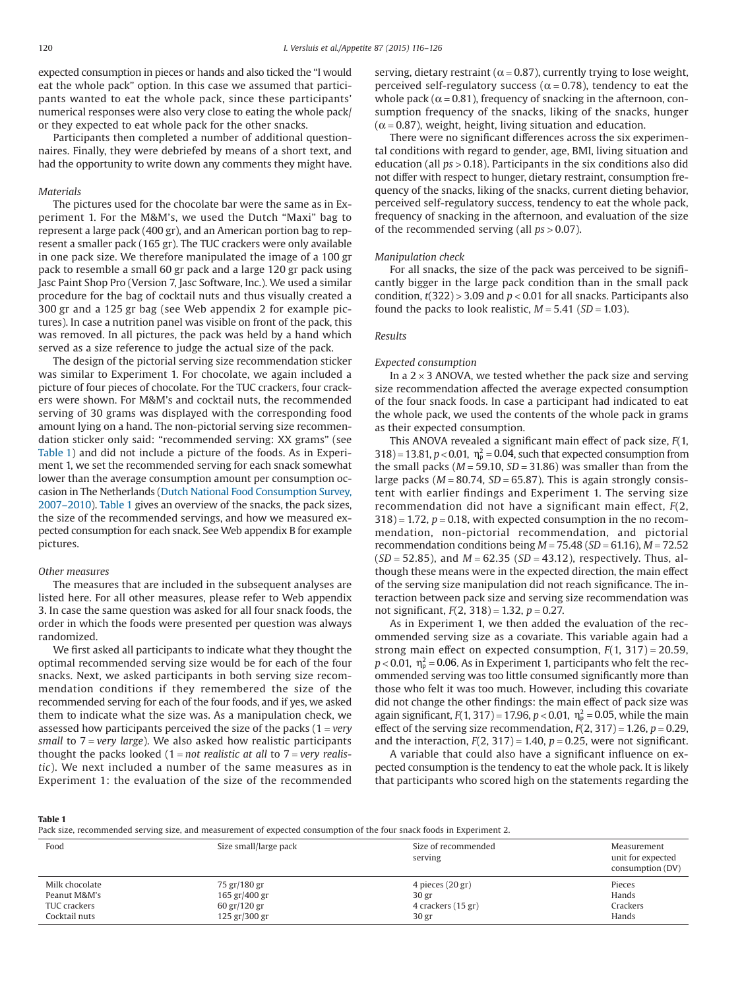expected consumption in pieces or hands and also ticked the "I would eat the whole pack" option. In this case we assumed that participants wanted to eat the whole pack, since these participants' numerical responses were also very close to eating the whole pack/ or they expected to eat whole pack for the other snacks.

Participants then completed a number of additional questionnaires. Finally, they were debriefed by means of a short text, and had the opportunity to write down any comments they might have.

#### *Materials*

The pictures used for the chocolate bar were the same as in Experiment 1. For the M&M's, we used the Dutch "Maxi" bag to represent a large pack (400 gr), and an American portion bag to represent a smaller pack (165 gr). The TUC crackers were only available in one pack size. We therefore manipulated the image of a 100 gr pack to resemble a small 60 gr pack and a large 120 gr pack using Jasc Paint Shop Pro (Version 7, Jasc Software, Inc.). We used a similar procedure for the bag of cocktail nuts and thus visually created a 300 gr and a 125 gr bag (see Web appendix 2 for example pictures). In case a nutrition panel was visible on front of the pack, this was removed. In all pictures, the pack was held by a hand which served as a size reference to judge the actual size of the pack.

The design of the pictorial serving size recommendation sticker was similar to Experiment 1. For chocolate, we again included a picture of four pieces of chocolate. For the TUC crackers, four crackers were shown. For M&M's and cocktail nuts, the recommended serving of 30 grams was displayed with the corresponding food amount lying on a hand. The non-pictorial serving size recommendation sticker only said: "recommended serving: XX grams" (see Table 1) and did not include a picture of the foods. As in Experiment 1, we set the recommended serving for each snack somewhat lower than the average consumption amount per consumption occasion in The Netherlands [\(Dutch National Food Consumption Survey,](#page-9-6) [2007–2010\)](#page-9-6). Table 1 gives an overview of the snacks, the pack sizes, the size of the recommended servings, and how we measured expected consumption for each snack. See Web appendix B for example pictures.

#### *Other measures*

The measures that are included in the subsequent analyses are listed here. For all other measures, please refer to Web appendix 3. In case the same question was asked for all four snack foods, the order in which the foods were presented per question was always randomized.

We first asked all participants to indicate what they thought the optimal recommended serving size would be for each of the four snacks. Next, we asked participants in both serving size recommendation conditions if they remembered the size of the recommended serving for each of the four foods, and if yes, we asked them to indicate what the size was. As a manipulation check, we assessed how participants perceived the size of the packs (1 = *very small* to 7 = *very large*). We also asked how realistic participants thought the packs looked (1 = *not realistic at all* to 7 = *very realistic*). We next included a number of the same measures as in Experiment 1: the evaluation of the size of the recommended

serving, dietary restraint ( $\alpha$  = 0.87), currently trying to lose weight, perceived self-regulatory success ( $\alpha$  = 0.78), tendency to eat the whole pack ( $\alpha$  = 0.81), frequency of snacking in the afternoon, consumption frequency of the snacks, liking of the snacks, hunger  $(\alpha = 0.87)$ , weight, height, living situation and education.

There were no significant differences across the six experimental conditions with regard to gender, age, BMI, living situation and education (all *ps* > 0.18). Participants in the six conditions also did not differ with respect to hunger, dietary restraint, consumption frequency of the snacks, liking of the snacks, current dieting behavior, perceived self-regulatory success, tendency to eat the whole pack, frequency of snacking in the afternoon, and evaluation of the size of the recommended serving (all *ps* > 0.07).

#### *Manipulation check*

For all snacks, the size of the pack was perceived to be significantly bigger in the large pack condition than in the small pack condition,  $t(322)$  > 3.09 and  $p < 0.01$  for all snacks. Participants also found the packs to look realistic,  $M = 5.41$  ( $SD = 1.03$ ).

#### *Results*

#### *Expected consumption*

In a  $2 \times 3$  ANOVA, we tested whether the pack size and serving size recommendation affected the average expected consumption of the four snack foods. In case a participant had indicated to eat the whole pack, we used the contents of the whole pack in grams as their expected consumption.

This ANOVA revealed a significant main effect of pack size, *F*(1,  $318$  = 13.81,  $p < 0.01$ ,  $\eta_p^2 = 0.04$ , such that expected consumption from the small packs  $(M = 59.10, SD = 31.86)$  was smaller than from the large packs  $(M = 80.74, SD = 65.87)$ . This is again strongly consistent with earlier findings and Experiment 1. The serving size recommendation did not have a significant main effect, *F*(2,  $318$  = 1.72,  $p = 0.18$ , with expected consumption in the no recommendation, non-pictorial recommendation, and pictorial recommendation conditions being *M* = 75.48 (*SD* = 61.16), *M* = 72.52 (*SD* = 52.85), and *M* = 62.35 (*SD* = 43.12), respectively. Thus, although these means were in the expected direction, the main effect of the serving size manipulation did not reach significance. The interaction between pack size and serving size recommendation was not significant, *F*(2, 318) = 1.32, *p* = 0.27.

As in Experiment 1, we then added the evaluation of the recommended serving size as a covariate. This variable again had a strong main effect on expected consumption, *F*(1, 317) = 20.59,  $p < 0.01$ ,  $\eta_{\rm p}^2 = 0.06$ . As in Experiment 1, participants who felt the recommended serving was too little consumed significantly more than those who felt it was too much. However, including this covariate did not change the other findings: the main effect of pack size was again significant,  $F(1, 317) = 17.96$ ,  $p < 0.01$ ,  $\eta_p^2 = 0.05$ , while the main effect of the serving size recommendation,  $F(2, 317) = 1.26$ ,  $p = 0.29$ , and the interaction,  $F(2, 317) = 1.40$ ,  $p = 0.25$ , were not significant.

A variable that could also have a significant influence on expected consumption is the tendency to eat the whole pack. It is likely that participants who scored high on the statements regarding the

**Table 1**

Pack size, recommended serving size, and measurement of expected consumption of the four snack foods in Experiment 2.

| Food           | Size small/large pack | Size of recommended<br>serving | Measurement<br>unit for expected<br>consumption (DV) |
|----------------|-----------------------|--------------------------------|------------------------------------------------------|
| Milk chocolate | 75 gr/180 gr          | 4 pieces (20 gr)               | Pieces                                               |
| Peanut M&M's   | 165 gr/400 gr         | 30 <sub>gr</sub>               | Hands                                                |
| TUC crackers   | 60 gr/120 gr          | 4 crackers (15 gr)             | Crackers                                             |
| Cocktail nuts  | 125 gr/300 gr         | 30 <sub>gr</sub>               | Hands                                                |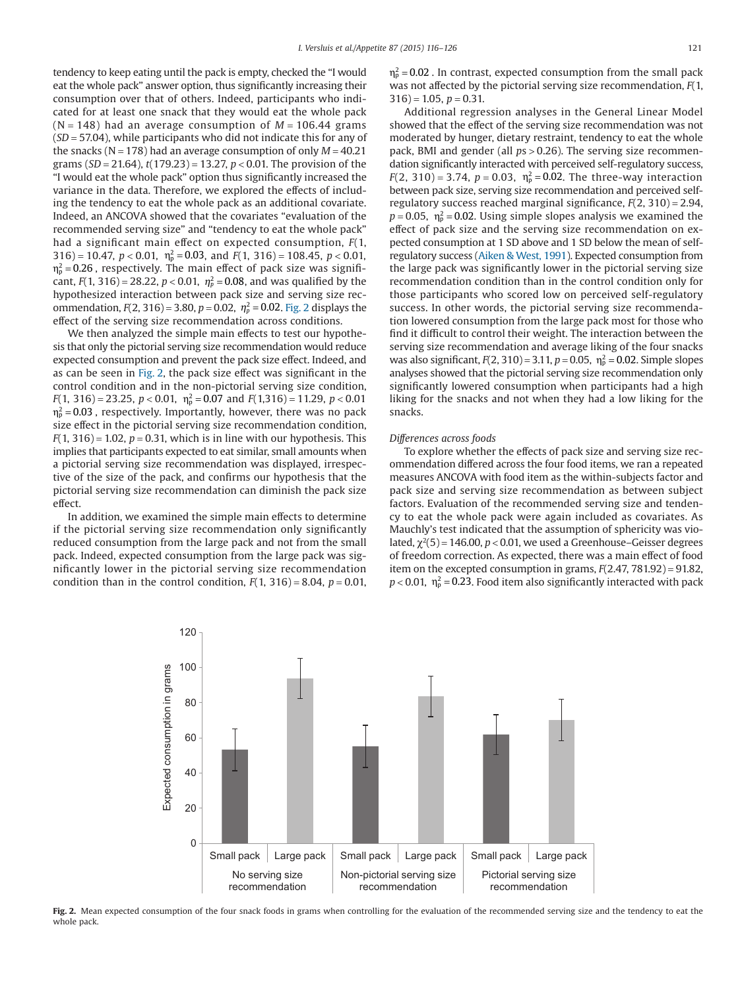tendency to keep eating until the pack is empty, checked the "I would eat the whole pack" answer option, thus significantly increasing their consumption over that of others. Indeed, participants who indicated for at least one snack that they would eat the whole pack  $(N = 148)$  had an average consumption of  $M = 106.44$  grams (*SD* = 57.04), while participants who did not indicate this for any of the snacks ( $N = 178$ ) had an average consumption of only  $M = 40.21$ grams (*SD* = 21.64), *t*(179.23) = 13.27, *p* < 0.01. The provision of the "I would eat the whole pack" option thus significantly increased the variance in the data. Therefore, we explored the effects of including the tendency to eat the whole pack as an additional covariate. Indeed, an ANCOVA showed that the covariates "evaluation of the recommended serving size" and "tendency to eat the whole pack" had a significant main effect on expected consumption, *F*(1,  $316$  = 10.47,  $p < 0.01$ ,  $\eta_p^2 = 0.03$ , and  $F(1, 316) = 108.45$ ,  $p < 0.01$ ,  $\eta_{\rm p}^2$ =0.26 , respectively. The main effect of pack size was significant,  $F(1, 316) = 28.22$ ,  $p < 0.01$ ,  $\eta_p^2 = 0.08$ , and was qualified by the hypothesized interaction between pack size and serving size recommendation,  $F(2, 316) = 3.80$ ,  $p = 0.02$ ,  $\eta_p^2 = 0.02$ . Fig. 2 displays the effect of the serving size recommendation across conditions.

We then analyzed the simple main effects to test our hypothesis that only the pictorial serving size recommendation would reduce expected consumption and prevent the pack size effect. Indeed, and as can be seen in Fig. 2, the pack size effect was significant in the control condition and in the non-pictorial serving size condition, *F*(1, 316) = 23.25,  $p < 0.01$ ,  $\eta_p^2 = 0.07$  and  $F(1,316) = 11.29$ ,  $p < 0.01$  $\eta_\texttt{p}^2$ =0.03 , respectively. Importantly, however, there was no pack size effect in the pictorial serving size recommendation condition,  $F(1, 316) = 1.02$ ,  $p = 0.31$ , which is in line with our hypothesis. This implies that participants expected to eat similar, small amounts when a pictorial serving size recommendation was displayed, irrespective of the size of the pack, and confirms our hypothesis that the pictorial serving size recommendation can diminish the pack size effect.

In addition, we examined the simple main effects to determine if the pictorial serving size recommendation only significantly reduced consumption from the large pack and not from the small pack. Indeed, expected consumption from the large pack was significantly lower in the pictorial serving size recommendation condition than in the control condition,  $F(1, 316) = 8.04$ ,  $p = 0.01$ ,

 $\eta_{\rm p}^2$  = 0.02 . In contrast, expected consumption from the small pack was not affected by the pictorial serving size recommendation, *F*(1,  $316$ ) = 1.05,  $p = 0.31$ .

Additional regression analyses in the General Linear Model showed that the effect of the serving size recommendation was not moderated by hunger, dietary restraint, tendency to eat the whole pack, BMI and gender (all *p*s > 0.26). The serving size recommendation significantly interacted with perceived self-regulatory success,  $F(2, 310) = 3.74$ ,  $p = 0.03$ ,  $\eta_p^2 = 0.02$ . The three-way interaction between pack size, serving size recommendation and perceived selfregulatory success reached marginal significance, *F*(2, 310) = 2.94,  $p = 0.05$ ,  $\eta_{\rm p}^2 = 0.02$ . Using simple slopes analysis we examined the effect of pack size and the serving size recommendation on expected consumption at 1 SD above and 1 SD below the mean of selfregulatory success [\(Aiken & West, 1991\)](#page-9-7). Expected consumption from the large pack was significantly lower in the pictorial serving size recommendation condition than in the control condition only for those participants who scored low on perceived self-regulatory success. In other words, the pictorial serving size recommendation lowered consumption from the large pack most for those who find it difficult to control their weight. The interaction between the serving size recommendation and average liking of the four snacks was also significant,  $F(2, 310) = 3.11$ ,  $p = 0.05$ ,  $\eta_p^2 = 0.02$ . Simple slopes analyses showed that the pictorial serving size recommendation only significantly lowered consumption when participants had a high liking for the snacks and not when they had a low liking for the snacks.

#### *Differences across foods*

To explore whether the effects of pack size and serving size recommendation differed across the four food items, we ran a repeated measures ANCOVA with food item as the within-subjects factor and pack size and serving size recommendation as between subject factors. Evaluation of the recommended serving size and tendency to eat the whole pack were again included as covariates. As Mauchly's test indicated that the assumption of sphericity was violated,  $\chi^2(5)$  = 146.00,  $p < 0.01$ , we used a Greenhouse–Geisser degrees of freedom correction. As expected, there was a main effect of food item on the excepted consumption in grams, *F*(2.47, 781.92) = 91.82,  $p < 0.01$ ,  $\eta_{p}^{2} = 0.23$ . Food item also significantly interacted with pack



Fig. 2. Mean expected consumption of the four snack foods in grams when controlling for the evaluation of the recommended serving size and the tendency to eat the whole pack.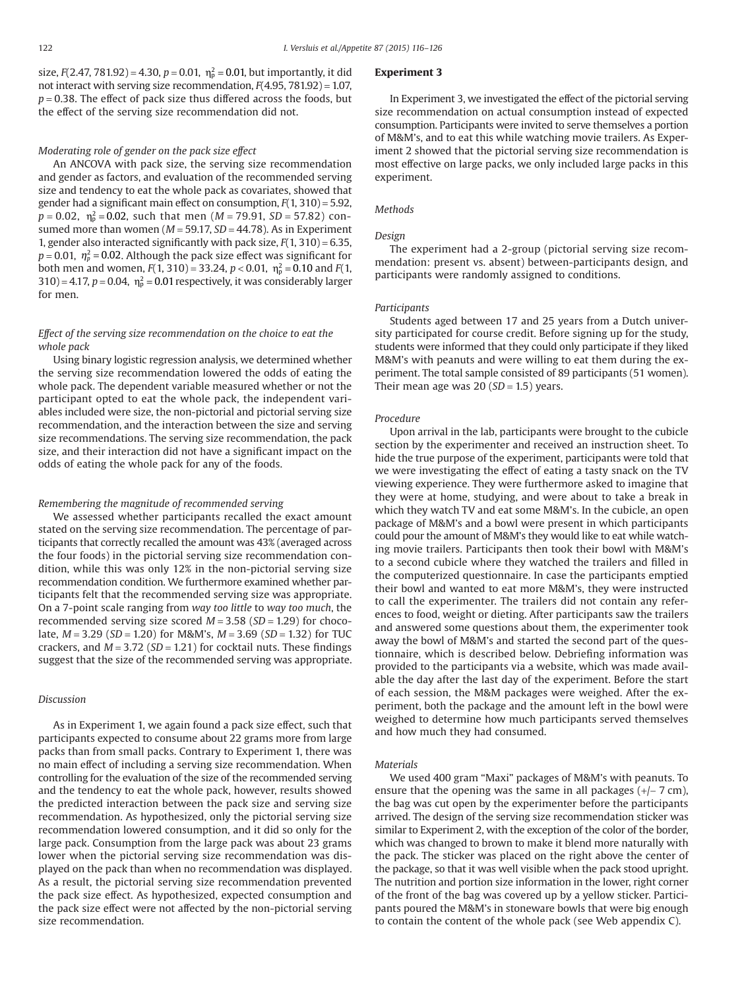size,  $F(2.47, 781.92) = 4.30, p = 0.01, \eta_{p}^{2} = 0.01$ , but importantly, it did not interact with serving size recommendation, *F*(4.95, 781.92) = 1.07,  $p = 0.38$ . The effect of pack size thus differed across the foods, but the effect of the serving size recommendation did not.

#### *Moderating role of gender on the pack size effect*

An ANCOVA with pack size, the serving size recommendation and gender as factors, and evaluation of the recommended serving size and tendency to eat the whole pack as covariates, showed that gender had a significant main effect on consumption, *F*(1, 310) = 5.92, *p* = 0.02, η<sub>ρ</sub><sup>2</sup> = 0.02, such that men (*M* = 79.91, *SD* = 57.82) consumed more than women ( $M = 59.17$ ,  $SD = 44.78$ ). As in Experiment 1, gender also interacted significantly with pack size, *F*(1, 310) = 6.35,  $p$  = 0.01,  $\eta_p^2$  = 0.02. Although the pack size effect was significant for both men and women,  $F(1, 310) = 33.24$ ,  $p < 0.01$ ,  $\eta_p^2 = 0.10$  and  $F(1, 10)$  $(310) = 4.17$ ,  $p = 0.04$ ,  $\eta_p^2 = 0.01$  respectively, it was considerably larger for men.

## *Effect of the serving size recommendation on the choice to eat the whole pack*

Using binary logistic regression analysis, we determined whether the serving size recommendation lowered the odds of eating the whole pack. The dependent variable measured whether or not the participant opted to eat the whole pack, the independent variables included were size, the non-pictorial and pictorial serving size recommendation, and the interaction between the size and serving size recommendations. The serving size recommendation, the pack size, and their interaction did not have a significant impact on the odds of eating the whole pack for any of the foods.

#### *Remembering the magnitude of recommended serving*

We assessed whether participants recalled the exact amount stated on the serving size recommendation. The percentage of participants that correctly recalled the amount was 43% (averaged across the four foods) in the pictorial serving size recommendation condition, while this was only 12% in the non-pictorial serving size recommendation condition. We furthermore examined whether participants felt that the recommended serving size was appropriate. On a 7-point scale ranging from *way too little* to *way too much*, the recommended serving size scored *M* = 3.58 (*SD* = 1.29) for chocolate, *M* = 3.29 (*SD* = 1.20) for M&M's, *M* = 3.69 (*SD* = 1.32) for TUC crackers, and *M* = 3.72 (*SD* = 1.21) for cocktail nuts. These findings suggest that the size of the recommended serving was appropriate.

# *Discussion*

As in Experiment 1, we again found a pack size effect, such that participants expected to consume about 22 grams more from large packs than from small packs. Contrary to Experiment 1, there was no main effect of including a serving size recommendation. When controlling for the evaluation of the size of the recommended serving and the tendency to eat the whole pack, however, results showed the predicted interaction between the pack size and serving size recommendation. As hypothesized, only the pictorial serving size recommendation lowered consumption, and it did so only for the large pack. Consumption from the large pack was about 23 grams lower when the pictorial serving size recommendation was displayed on the pack than when no recommendation was displayed. As a result, the pictorial serving size recommendation prevented the pack size effect. As hypothesized, expected consumption and the pack size effect were not affected by the non-pictorial serving size recommendation.

#### **Experiment 3**

In Experiment 3, we investigated the effect of the pictorial serving size recommendation on actual consumption instead of expected consumption. Participants were invited to serve themselves a portion of M&M's, and to eat this while watching movie trailers. As Experiment 2 showed that the pictorial serving size recommendation is most effective on large packs, we only included large packs in this experiment.

# *Methods*

#### *Design*

The experiment had a 2-group (pictorial serving size recommendation: present vs. absent) between-participants design, and participants were randomly assigned to conditions.

#### *Participants*

Students aged between 17 and 25 years from a Dutch university participated for course credit. Before signing up for the study, students were informed that they could only participate if they liked M&M's with peanuts and were willing to eat them during the experiment. The total sample consisted of 89 participants (51 women). Their mean age was  $20$  ( $SD = 1.5$ ) years.

#### *Procedure*

Upon arrival in the lab, participants were brought to the cubicle section by the experimenter and received an instruction sheet. To hide the true purpose of the experiment, participants were told that we were investigating the effect of eating a tasty snack on the TV viewing experience. They were furthermore asked to imagine that they were at home, studying, and were about to take a break in which they watch TV and eat some M&M's. In the cubicle, an open package of M&M's and a bowl were present in which participants could pour the amount of M&M's they would like to eat while watching movie trailers. Participants then took their bowl with M&M's to a second cubicle where they watched the trailers and filled in the computerized questionnaire. In case the participants emptied their bowl and wanted to eat more M&M's, they were instructed to call the experimenter. The trailers did not contain any references to food, weight or dieting. After participants saw the trailers and answered some questions about them, the experimenter took away the bowl of M&M's and started the second part of the questionnaire, which is described below. Debriefing information was provided to the participants via a website, which was made available the day after the last day of the experiment. Before the start of each session, the M&M packages were weighed. After the experiment, both the package and the amount left in the bowl were weighed to determine how much participants served themselves and how much they had consumed.

#### *Materials*

We used 400 gram "Maxi" packages of M&M's with peanuts. To ensure that the opening was the same in all packages (+/− 7 cm), the bag was cut open by the experimenter before the participants arrived. The design of the serving size recommendation sticker was similar to Experiment 2, with the exception of the color of the border, which was changed to brown to make it blend more naturally with the pack. The sticker was placed on the right above the center of the package, so that it was well visible when the pack stood upright. The nutrition and portion size information in the lower, right corner of the front of the bag was covered up by a yellow sticker. Participants poured the M&M's in stoneware bowls that were big enough to contain the content of the whole pack (see Web appendix C).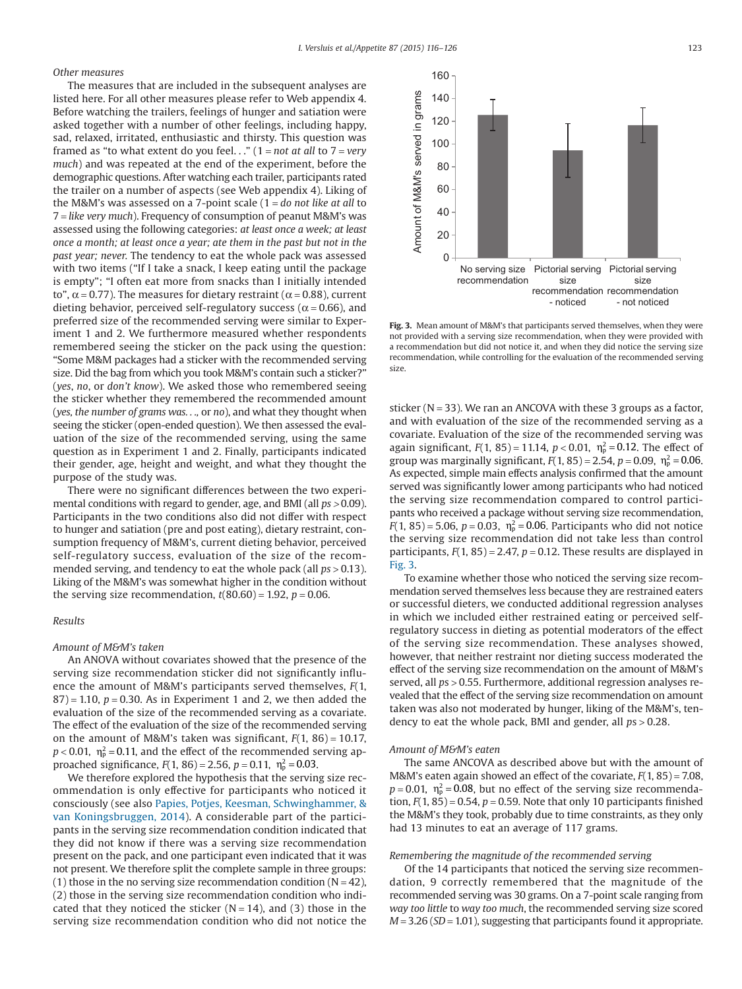Amount of M&M's served in grams

Amount of M&M's served in grams

### *Other measures*

The measures that are included in the subsequent analyses are listed here. For all other measures please refer to Web appendix 4. Before watching the trailers, feelings of hunger and satiation were asked together with a number of other feelings, including happy, sad, relaxed, irritated, enthusiastic and thirsty. This question was framed as "to what extent do you feel. . ." (1 = *not at all* to 7 = *very much*) and was repeated at the end of the experiment, before the demographic questions. After watching each trailer, participants rated the trailer on a number of aspects (see Web appendix 4). Liking of the M&M's was assessed on a 7-point scale (1 = *do not like at all* to 7 = *like very much*). Frequency of consumption of peanut M&M's was assessed using the following categories: *at least once a week; at least once a month; at least once a year; ate them in the past but not in the past year; never.* The tendency to eat the whole pack was assessed with two items ("If I take a snack, I keep eating until the package is empty"; "I often eat more from snacks than I initially intended to",  $\alpha$  = 0.77). The measures for dietary restraint ( $\alpha$  = 0.88), current dieting behavior, perceived self-regulatory success ( $\alpha$  = 0.66), and preferred size of the recommended serving were similar to Experiment 1 and 2. We furthermore measured whether respondents remembered seeing the sticker on the pack using the question: "Some M&M packages had a sticker with the recommended serving size. Did the bag from which you took M&M's contain such a sticker?" (*yes*, *no*, or *don't know*). We asked those who remembered seeing the sticker whether they remembered the recommended amount (*yes, the number of grams was. . .,* or *no*), and what they thought when seeing the sticker (open-ended question). We then assessed the evaluation of the size of the recommended serving, using the same question as in Experiment 1 and 2. Finally, participants indicated their gender, age, height and weight, and what they thought the purpose of the study was.

There were no significant differences between the two experimental conditions with regard to gender, age, and BMI (all *ps >* 0.09). Participants in the two conditions also did not differ with respect to hunger and satiation (pre and post eating), dietary restraint, consumption frequency of M&M's, current dieting behavior, perceived self-regulatory success, evaluation of the size of the recommended serving, and tendency to eat the whole pack (all *ps* > 0.13). Liking of the M&M's was somewhat higher in the condition without the serving size recommendation,  $t(80.60) = 1.92$ ,  $p = 0.06$ .

#### *Results*

#### *Amount of M&M's taken*

An ANOVA without covariates showed that the presence of the serving size recommendation sticker did not significantly influence the amount of M&M's participants served themselves, *F*(1,  $87$ ) = 1.10,  $p = 0.30$ . As in Experiment 1 and 2, we then added the evaluation of the size of the recommended serving as a covariate. The effect of the evaluation of the size of the recommended serving on the amount of M&M's taken was significant,  $F(1, 86) = 10.17$ ,  $p < 0.01$ ,  $\eta_{\rm p}^2 = 0.11$ , and the effect of the recommended serving approached significance,  $F(1, 86) = 2.56$ ,  $p = 0.11$ ,  $\eta_p^2 = 0.03$ .

We therefore explored the hypothesis that the serving size recommendation is only effective for participants who noticed it consciously (see also [Papies, Potjes, Keesman, Schwinghammer, &](#page-10-16) [van Koningsbruggen, 2014\)](#page-10-16). A considerable part of the participants in the serving size recommendation condition indicated that they did not know if there was a serving size recommendation present on the pack, and one participant even indicated that it was not present. We therefore split the complete sample in three groups: (1) those in the no serving size recommendation condition ( $N = 42$ ), (2) those in the serving size recommendation condition who indicated that they noticed the sticker ( $N = 14$ ), and (3) those in the serving size recommendation condition who did not notice the





**Fig. 3.** Mean amount of M&M's that participants served themselves, when they were not provided with a serving size recommendation, when they were provided with a recommendation but did not notice it, and when they did notice the serving size recommendation, while controlling for the evaluation of the recommended serving size.

sticker ( $N = 33$ ). We ran an ANCOVA with these 3 groups as a factor, and with evaluation of the size of the recommended serving as a covariate. Evaluation of the size of the recommended serving was again significant,  $F(1, 85) = 11.14$ ,  $p < 0.01$ ,  $\eta_p^2 = 0.12$ . The effect of group was marginally significant,  $F(1, 85) = 2.54$ ,  $p = 0.09$ ,  $\eta_p^2 = 0.06$ . As expected, simple main effects analysis confirmed that the amount served was significantly lower among participants who had noticed the serving size recommendation compared to control participants who received a package without serving size recommendation,  $F(1, 85) = 5.06$ ,  $p = 0.03$ ,  $\eta_p^2 = 0.06$ . Participants who did not notice the serving size recommendation did not take less than control participants,  $F(1, 85) = 2.47$ ,  $p = 0.12$ . These results are displayed in Fig. 3.

To examine whether those who noticed the serving size recommendation served themselves less because they are restrained eaters or successful dieters, we conducted additional regression analyses in which we included either restrained eating or perceived selfregulatory success in dieting as potential moderators of the effect of the serving size recommendation. These analyses showed, however, that neither restraint nor dieting success moderated the effect of the serving size recommendation on the amount of M&M's served, all *p*s > 0.55. Furthermore, additional regression analyses revealed that the effect of the serving size recommendation on amount taken was also not moderated by hunger, liking of the M&M's, tendency to eat the whole pack, BMI and gender, all *p*s > 0.28.

#### *Amount of M&M's eaten*

The same ANCOVA as described above but with the amount of M&M's eaten again showed an effect of the covariate, *F*(1, 85) = 7.08,  $p = 0.01$ ,  $\eta_p^2 = 0.08$ , but no effect of the serving size recommendation,  $F(1, 85) = 0.54$ ,  $p = 0.59$ . Note that only 10 participants finished the M&M's they took, probably due to time constraints, as they only had 13 minutes to eat an average of 117 grams.

#### *Remembering the magnitude of the recommended serving*

Of the 14 participants that noticed the serving size recommendation, 9 correctly remembered that the magnitude of the recommended serving was 30 grams. On a 7-point scale ranging from *way too little* to *way too much*, the recommended serving size scored *M* = 3.26 (*SD* = 1.01), suggesting that participants found it appropriate.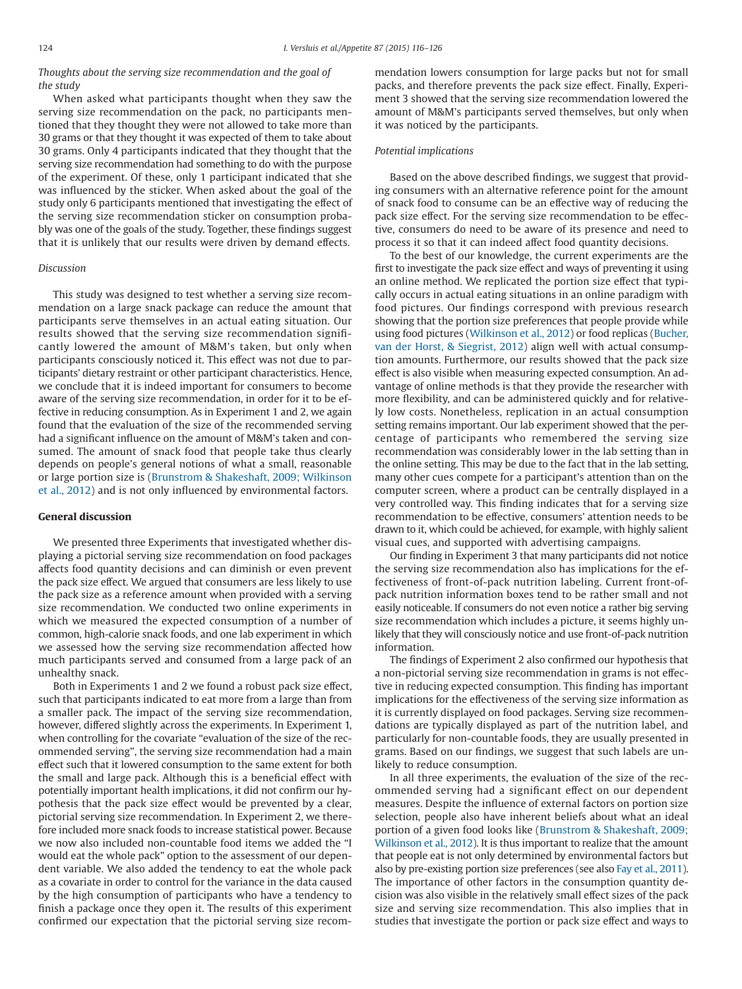*Thoughts about the serving size recommendation and the goal of the study*

When asked what participants thought when they saw the serving size recommendation on the pack, no participants mentioned that they thought they were not allowed to take more than 30 grams or that they thought it was expected of them to take about 30 grams. Only 4 participants indicated that they thought that the serving size recommendation had something to do with the purpose of the experiment. Of these, only 1 participant indicated that she was influenced by the sticker. When asked about the goal of the study only 6 participants mentioned that investigating the effect of the serving size recommendation sticker on consumption probably was one of the goals of the study. Together, these findings suggest that it is unlikely that our results were driven by demand effects.

#### *Discussion*

This study was designed to test whether a serving size recommendation on a large snack package can reduce the amount that participants serve themselves in an actual eating situation. Our results showed that the serving size recommendation significantly lowered the amount of M&M's taken, but only when participants consciously noticed it. This effect was not due to participants' dietary restraint or other participant characteristics. Hence, we conclude that it is indeed important for consumers to become aware of the serving size recommendation, in order for it to be effective in reducing consumption. As in Experiment 1 and 2, we again found that the evaluation of the size of the recommended serving had a significant influence on the amount of M&M's taken and consumed. The amount of snack food that people take thus clearly depends on people's general notions of what a small, reasonable or large portion size is [\(Brunstrom & Shakeshaft, 2009; Wilkinson](#page-9-8) [et al., 2012\)](#page-9-8) and is not only influenced by environmental factors.

#### **General discussion**

We presented three Experiments that investigated whether displaying a pictorial serving size recommendation on food packages affects food quantity decisions and can diminish or even prevent the pack size effect. We argued that consumers are less likely to use the pack size as a reference amount when provided with a serving size recommendation. We conducted two online experiments in which we measured the expected consumption of a number of common, high-calorie snack foods, and one lab experiment in which we assessed how the serving size recommendation affected how much participants served and consumed from a large pack of an unhealthy snack.

Both in Experiments 1 and 2 we found a robust pack size effect, such that participants indicated to eat more from a large than from a smaller pack. The impact of the serving size recommendation, however, differed slightly across the experiments. In Experiment 1, when controlling for the covariate "evaluation of the size of the recommended serving", the serving size recommendation had a main effect such that it lowered consumption to the same extent for both the small and large pack. Although this is a beneficial effect with potentially important health implications, it did not confirm our hypothesis that the pack size effect would be prevented by a clear, pictorial serving size recommendation. In Experiment 2, we therefore included more snack foods to increase statistical power. Because we now also included non-countable food items we added the "I would eat the whole pack" option to the assessment of our dependent variable. We also added the tendency to eat the whole pack as a covariate in order to control for the variance in the data caused by the high consumption of participants who have a tendency to finish a package once they open it. The results of this experiment confirmed our expectation that the pictorial serving size recommendation lowers consumption for large packs but not for small packs, and therefore prevents the pack size effect. Finally, Experiment 3 showed that the serving size recommendation lowered the amount of M&M's participants served themselves, but only when it was noticed by the participants.

#### *Potential implications*

Based on the above described findings, we suggest that providing consumers with an alternative reference point for the amount of snack food to consume can be an effective way of reducing the pack size effect. For the serving size recommendation to be effective, consumers do need to be aware of its presence and need to process it so that it can indeed affect food quantity decisions.

To the best of our knowledge, the current experiments are the first to investigate the pack size effect and ways of preventing it using an online method. We replicated the portion size effect that typically occurs in actual eating situations in an online paradigm with food pictures. Our findings correspond with previous research showing that the portion size preferences that people provide while using food pictures [\(Wilkinson et al., 2012\)](#page-10-10) or food replicas [\(Bucher,](#page-9-9) [van der Horst, & Siegrist, 2012\)](#page-9-9) align well with actual consumption amounts. Furthermore, our results showed that the pack size effect is also visible when measuring expected consumption. An advantage of online methods is that they provide the researcher with more flexibility, and can be administered quickly and for relatively low costs. Nonetheless, replication in an actual consumption setting remains important. Our lab experiment showed that the percentage of participants who remembered the serving size recommendation was considerably lower in the lab setting than in the online setting. This may be due to the fact that in the lab setting, many other cues compete for a participant's attention than on the computer screen, where a product can be centrally displayed in a very controlled way. This finding indicates that for a serving size recommendation to be effective, consumers' attention needs to be drawn to it, which could be achieved, for example, with highly salient visual cues, and supported with advertising campaigns.

Our finding in Experiment 3 that many participants did not notice the serving size recommendation also has implications for the effectiveness of front-of-pack nutrition labeling. Current front-ofpack nutrition information boxes tend to be rather small and not easily noticeable. If consumers do not even notice a rather big serving size recommendation which includes a picture, it seems highly unlikely that they will consciously notice and use front-of-pack nutrition information.

The findings of Experiment 2 also confirmed our hypothesis that a non-pictorial serving size recommendation in grams is not effective in reducing expected consumption. This finding has important implications for the effectiveness of the serving size information as it is currently displayed on food packages. Serving size recommendations are typically displayed as part of the nutrition label, and particularly for non-countable foods, they are usually presented in grams. Based on our findings, we suggest that such labels are unlikely to reduce consumption.

In all three experiments, the evaluation of the size of the recommended serving had a significant effect on our dependent measures. Despite the influence of external factors on portion size selection, people also have inherent beliefs about what an ideal portion of a given food looks like [\(Brunstrom & Shakeshaft, 2009;](#page-9-8) [Wilkinson et al., 2012\)](#page-9-8). It is thus important to realize that the amount that people eat is not only determined by environmental factors but also by pre-existing portion size preferences (see also [Fay et al., 2011\)](#page-10-17). The importance of other factors in the consumption quantity decision was also visible in the relatively small effect sizes of the pack size and serving size recommendation. This also implies that in studies that investigate the portion or pack size effect and ways to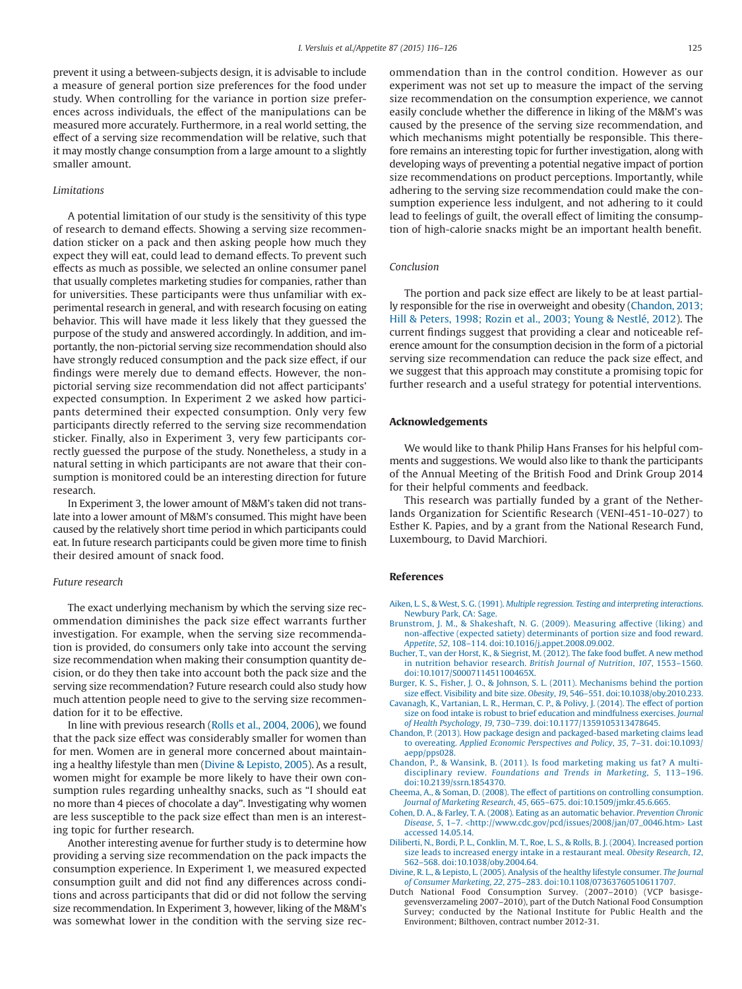prevent it using a between-subjects design, it is advisable to include a measure of general portion size preferences for the food under study. When controlling for the variance in portion size preferences across individuals, the effect of the manipulations can be measured more accurately. Furthermore, in a real world setting, the effect of a serving size recommendation will be relative, such that it may mostly change consumption from a large amount to a slightly smaller amount.

#### *Limitations*

A potential limitation of our study is the sensitivity of this type of research to demand effects. Showing a serving size recommendation sticker on a pack and then asking people how much they expect they will eat, could lead to demand effects. To prevent such effects as much as possible, we selected an online consumer panel that usually completes marketing studies for companies, rather than for universities. These participants were thus unfamiliar with experimental research in general, and with research focusing on eating behavior. This will have made it less likely that they guessed the purpose of the study and answered accordingly. In addition, and importantly, the non-pictorial serving size recommendation should also have strongly reduced consumption and the pack size effect, if our findings were merely due to demand effects. However, the nonpictorial serving size recommendation did not affect participants' expected consumption. In Experiment 2 we asked how participants determined their expected consumption. Only very few participants directly referred to the serving size recommendation sticker. Finally, also in Experiment 3, very few participants correctly guessed the purpose of the study. Nonetheless, a study in a natural setting in which participants are not aware that their consumption is monitored could be an interesting direction for future research.

In Experiment 3, the lower amount of M&M's taken did not translate into a lower amount of M&M's consumed. This might have been caused by the relatively short time period in which participants could eat. In future research participants could be given more time to finish their desired amount of snack food.

#### *Future research*

The exact underlying mechanism by which the serving size recommendation diminishes the pack size effect warrants further investigation. For example, when the serving size recommendation is provided, do consumers only take into account the serving size recommendation when making their consumption quantity decision, or do they then take into account both the pack size and the serving size recommendation? Future research could also study how much attention people need to give to the serving size recommendation for it to be effective.

In line with previous research [\(Rolls et al., 2004, 2006\)](#page-10-15), we found that the pack size effect was considerably smaller for women than for men. Women are in general more concerned about maintaining a healthy lifestyle than men [\(Divine & Lepisto, 2005\)](#page-9-10). As a result, women might for example be more likely to have their own consumption rules regarding unhealthy snacks, such as "I should eat no more than 4 pieces of chocolate a day". Investigating why women are less susceptible to the pack size effect than men is an interesting topic for further research.

Another interesting avenue for further study is to determine how providing a serving size recommendation on the pack impacts the consumption experience. In Experiment 1, we measured expected consumption guilt and did not find any differences across conditions and across participants that did or did not follow the serving size recommendation. In Experiment 3, however, liking of the M&M's was somewhat lower in the condition with the serving size recommendation than in the control condition. However as our experiment was not set up to measure the impact of the serving size recommendation on the consumption experience, we cannot easily conclude whether the difference in liking of the M&M's was caused by the presence of the serving size recommendation, and which mechanisms might potentially be responsible. This therefore remains an interesting topic for further investigation, along with developing ways of preventing a potential negative impact of portion size recommendations on product perceptions. Importantly, while adhering to the serving size recommendation could make the consumption experience less indulgent, and not adhering to it could lead to feelings of guilt, the overall effect of limiting the consumption of high-calorie snacks might be an important health benefit.

#### *Conclusion*

The portion and pack size effect are likely to be at least partially responsible for the rise in overweight and obesity [\(Chandon, 2013;](#page-9-2) [Hill & Peters, 1998; Rozin et al., 2003; Young & Nestlé, 2012\)](#page-9-2). The current findings suggest that providing a clear and noticeable reference amount for the consumption decision in the form of a pictorial serving size recommendation can reduce the pack size effect, and we suggest that this approach may constitute a promising topic for further research and a useful strategy for potential interventions.

#### **Acknowledgements**

We would like to thank Philip Hans Franses for his helpful comments and suggestions. We would also like to thank the participants of the Annual Meeting of the British Food and Drink Group 2014 for their helpful comments and feedback.

This research was partially funded by a grant of the Netherlands Organization for Scientific Research (VENI-451-10-027) to Esther K. Papies, and by a grant from the National Research Fund, Luxembourg, to David Marchiori.

#### **References**

- <span id="page-9-7"></span>Aiken, L. S., & West, S. G. (1991). *[Multiple regression. Testing and interpreting interactions](http://refhub.elsevier.com/S0195-6663(14)00650-3/sr0010)*. [Newbury Park, CA: Sage.](http://refhub.elsevier.com/S0195-6663(14)00650-3/sr0010)
- <span id="page-9-8"></span>[Brunstrom, J. M., & Shakeshaft, N. G. \(2009\). Measuring affective \(liking\) and](http://refhub.elsevier.com/S0195-6663(14)00650-3/sr0015) [non-affective \(expected satiety\) determinants of portion size and food reward.](http://refhub.elsevier.com/S0195-6663(14)00650-3/sr0015) *Appetite*, *52*[, 108–114. doi:10.1016/j.appet.2008.09.002.](http://refhub.elsevier.com/S0195-6663(14)00650-3/sr0015)
- <span id="page-9-9"></span>[Bucher, T., van der Horst, K., & Siegrist, M. \(2012\). The fake food buffet. A new method](http://refhub.elsevier.com/S0195-6663(14)00650-3/sr0020) [in nutrition behavior research.](http://refhub.elsevier.com/S0195-6663(14)00650-3/sr0020) *British Journal of Nutrition*, *107*, 1553–1560. [doi:10.1017/S000711451100465X.](http://refhub.elsevier.com/S0195-6663(14)00650-3/sr0020)
- <span id="page-9-1"></span>[Burger, K. S., Fisher, J. O., & Johnson, S. L. \(2011\). Mechanisms behind the portion](http://refhub.elsevier.com/S0195-6663(14)00650-3/sr0025)
- <span id="page-9-5"></span>size effect. Visibility and bite size. *Obesity*, *19*[, 546–551. doi:10.1038/oby.2010.233.](http://refhub.elsevier.com/S0195-6663(14)00650-3/sr0025) [Cavanagh, K., Vartanian, L. R., Herman, C. P., & Polivy, J. \(2014\). The effect of portion](http://refhub.elsevier.com/S0195-6663(14)00650-3/sr0030) [size on food intake is robust to brief education and mindfulness exercises.](http://refhub.elsevier.com/S0195-6663(14)00650-3/sr0030) *Journal of Health Psychology*, *19*[, 730–739. doi:10.1177/1359105313478645.](http://refhub.elsevier.com/S0195-6663(14)00650-3/sr0030)
- <span id="page-9-2"></span>[Chandon, P. \(2013\). How package design and packaged-based marketing claims lead](http://refhub.elsevier.com/S0195-6663(14)00650-3/sr0035) to overeating. *[Applied Economic Perspectives and Policy](http://refhub.elsevier.com/S0195-6663(14)00650-3/sr0035)*, *35*, 7–31. doi:10.1093/ [aepp/pps028.](http://refhub.elsevier.com/S0195-6663(14)00650-3/sr0035)
- <span id="page-9-0"></span>[Chandon, P., & Wansink, B. \(2011\). Is food marketing making us fat? A multi](http://refhub.elsevier.com/S0195-6663(14)00650-3/sr0040)disciplinary review. *[Foundations and Trends in Marketing](http://refhub.elsevier.com/S0195-6663(14)00650-3/sr0040)*, *5*, 113–196. [doi:10.2139/ssrn.1854370.](http://refhub.elsevier.com/S0195-6663(14)00650-3/sr0040)
- <span id="page-9-3"></span>[Cheema, A., & Soman, D. \(2008\). The effect of partitions on controlling consumption.](http://refhub.elsevier.com/S0195-6663(14)00650-3/sr0045) *Journal of Marketing Research*, *45*[, 665–675. doi:10.1509/jmkr.45.6.665.](http://refhub.elsevier.com/S0195-6663(14)00650-3/sr0045)
- <span id="page-9-4"></span>[Cohen, D. A., & Farley, T. A. \(2008\). Eating as an automatic behavior.](http://refhub.elsevier.com/S0195-6663(14)00650-3/sr0050) *Prevention Chronic Disease*, *5*, 1–7. <[http://www.cdc.gov/pcd/issues/2008/jan/07\\_0046.htm](http://www.cdc.gov/pcd/issues/2008/jan/07_0046.htm)> Last accessed 14.05.14.
- [Diliberti, N., Bordi, P. L., Conklin, M. T., Roe, L. S., & Rolls, B. J. \(2004\). Increased portion](http://refhub.elsevier.com/S0195-6663(14)00650-3/sr0055) [size leads to increased energy intake in a restaurant meal.](http://refhub.elsevier.com/S0195-6663(14)00650-3/sr0055) *Obesity Research*, *12*, [562–568. doi:10.1038/oby.2004.64.](http://refhub.elsevier.com/S0195-6663(14)00650-3/sr0055)
- <span id="page-9-10"></span>[Divine, R. L., & Lepisto, L. \(2005\). Analysis of the healthy lifestyle consumer.](http://refhub.elsevier.com/S0195-6663(14)00650-3/sr0060) *The Journal of Consumer Marketing*, *22*[, 275–283. doi:10.1108/07363760510611707.](http://refhub.elsevier.com/S0195-6663(14)00650-3/sr0060)
- <span id="page-9-6"></span>Dutch National Food Consumption Survey. (2007–2010) (VCP basisgegevensverzameling 2007–2010), part of the Dutch National Food Consumption Survey; conducted by the National Institute for Public Health and the Environment; Bilthoven, contract number 2012-31.